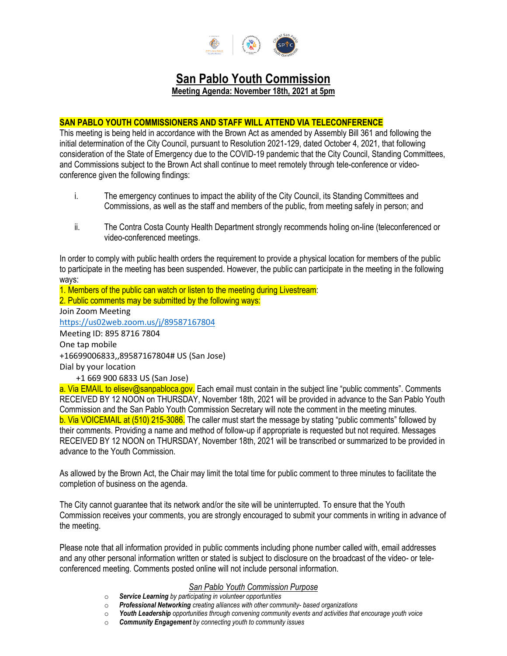

# **San Pablo Youth Commission**

**Meeting Agenda: November 18th, 2021 at 5pm**

## **SAN PABLO YOUTH COMMISSIONERS AND STAFF WILL ATTEND VIA TELECONFERENCE**

This meeting is being held in accordance with the Brown Act as amended by Assembly Bill 361 and following the initial determination of the City Council, pursuant to Resolution 2021-129, dated October 4, 2021, that following consideration of the State of Emergency due to the COVID-19 pandemic that the City Council, Standing Committees, and Commissions subject to the Brown Act shall continue to meet remotely through tele-conference or videoconference given the following findings:

- i. The emergency continues to impact the ability of the City Council, its Standing Committees and Commissions, as well as the staff and members of the public, from meeting safely in person; and
- ii. The Contra Costa County Health Department strongly recommends holing on-line (teleconferenced or video-conferenced meetings.

In order to comply with public health orders the requirement to provide a physical location for members of the public to participate in the meeting has been suspended. However, the public can participate in the meeting in the following ways:

1. Members of the public can watch or listen to the meeting during Livestream:

2. Public comments may be submitted by the following ways: Join Zoom Meeting <https://us02web.zoom.us/j/89587167804>

Meeting ID: 895 8716 7804 One tap mobile +16699006833,,89587167804# US (San Jose)

Dial by your location

+1 669 900 6833 US (San Jose)

a. Via EMAIL to elisev@sanpabloca.gov. Each email must contain in the subject line "public comments". Comments RECEIVED BY 12 NOON on THURSDAY, November 18th, 2021 will be provided in advance to the San Pablo Youth Commission and the San Pablo Youth Commission Secretary will note the comment in the meeting minutes. b. Via VOICEMAIL at (510) 215-3086. The caller must start the message by stating "public comments" followed by their comments. Providing a name and method of follow-up if appropriate is requested but not required. Messages RECEIVED BY 12 NOON on THURSDAY, November 18th, 2021 will be transcribed or summarized to be provided in advance to the Youth Commission.

As allowed by the Brown Act, the Chair may limit the total time for public comment to three minutes to facilitate the completion of business on the agenda.

The City cannot guarantee that its network and/or the site will be uninterrupted. To ensure that the Youth Commission receives your comments, you are strongly encouraged to submit your comments in writing in advance of the meeting.

Please note that all information provided in public comments including phone number called with, email addresses and any other personal information written or stated is subject to disclosure on the broadcast of the video- or teleconferenced meeting. Comments posted online will not include personal information.

#### *San Pablo Youth Commission Purpose*

- o *Service Learning by participating in volunteer opportunities*
- o *Professional Networking creating alliances with other community- based organizations*
- o *Youth Leadership opportunities through convening community events and activities that encourage youth voice*
- o *Community Engagement by connecting youth to community issues*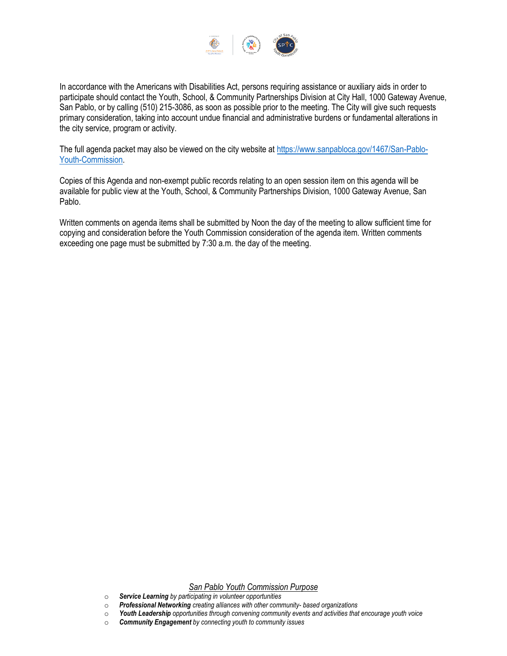

In accordance with the Americans with Disabilities Act, persons requiring assistance or auxiliary aids in order to participate should contact the Youth, School, & Community Partnerships Division at City Hall, 1000 Gateway Avenue, San Pablo, or by calling (510) 215-3086, as soon as possible prior to the meeting. The City will give such requests primary consideration, taking into account undue financial and administrative burdens or fundamental alterations in the city service, program or activity.

The full agenda packet may also be viewed on the city website at [https://www.sanpabloca.gov/1467/San-Pablo-](https://www.sanpabloca.gov/1467/San-Pablo-Youth-Commission)[Youth-Commission.](https://www.sanpabloca.gov/1467/San-Pablo-Youth-Commission)

Copies of this Agenda and non-exempt public records relating to an open session item on this agenda will be available for public view at the Youth, School, & Community Partnerships Division, 1000 Gateway Avenue, San Pablo.

Written comments on agenda items shall be submitted by Noon the day of the meeting to allow sufficient time for copying and consideration before the Youth Commission consideration of the agenda item. Written comments exceeding one page must be submitted by 7:30 a.m. the day of the meeting.

#### *San Pablo Youth Commission Purpose*

- o *Service Learning by participating in volunteer opportunities*
- o *Professional Networking creating alliances with other community- based organizations*
- o *Youth Leadership opportunities through convening community events and activities that encourage youth voice*
- o *Community Engagement by connecting youth to community issues*